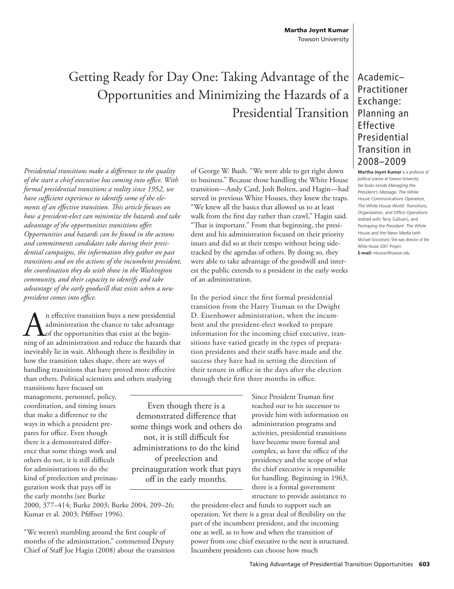Getting Ready for Day One: Taking Advantage of the Opportunities and Minimizing the Hazards of a Presidential Transition

*Presidential transitions make a difference to the quality* of the start a chief executive has coming into office. With *formal presidential transitions a reality since 1952, we*  have sufficient experience to identify some of the ele*ments of an eff ective transition. Th is article focuses on how a president-elect can minimize the hazards and take advantage of the opportunities transitions offer. Opportunities and hazards can be found in the actions and commitments candidates take during their presidential campaigns, the information they gather on past transitions and on the actions of the incumbent president, the coordination they do with those in the Washington community, and their capacity to identify and take advantage of the early goodwill that exists when a new president comes into office.* 

n effective transition buys a new presidential administration the chance to take advantage of the opportunities that exist at the beginning of an administration and reduce the hazards that inevitably lie in wait. Although there is flexibility in how the transition takes shape, there are ways of handling transitions that have proved more effective than others. Political scientists and others studying

transitions have focused on management, personnel, policy, coordination, and timing issues that make a difference to the ways in which a president prepares for office. Even though there is a demonstrated difference that some things work and others do not, it is still difficult for administrations to do the kind of preelection and preinauguration work that pays off in the early months (see Burke

2000, 377-414; Burke 2003; Burke 2004, 209-26; Kumar et al. 2003; Pfiffner 1996).

"We weren't stumbling around the first couple of months of the administration," commented Deputy Chief of Staff Joe Hagin (2008) about the transition of George W. Bush. "We were able to get right down to business." Because those handling the White House transition — Andy Card, Josh Bolten, and Hagin — had served in previous White Houses, they knew the traps. "We knew all the basics that allowed us to at least walk from the first day rather than crawl," Hagin said. "That is important." From that beginning, the president and his administration focused on their priority issues and did so at their tempo without being sidetracked by the agendas of others. By doing so, they were able to take advantage of the goodwill and interest the public extends to a president in the early weeks of an administration.

In the period since the first formal presidential transition from the Harry Truman to the Dwight D. Eisenhower administration, when the incumbent and the president-elect worked to prepare information for the incoming chief executive, transitions have varied greatly in the types of preparation presidents and their staffs have made and the success they have had in setting the direction of their tenure in office in the days after the election through their first three months in office.

 Even though there is a demonstrated difference that some things work and others do not, it is still difficult for administrations to do the kind of preelection and preinauguration work that pays off in the early months.

Since President Truman first reached out to his successor to provide him with information on administration programs and activities, presidential transitions have become more formal and complex, as have the office of the presidency and the scope of what the chief executive is responsible for handling. Beginning in 1963, there is a formal government structure to provide assistance to

the president-elect and funds to support such an operation. Yet there is a great deal of flexibility on the part of the incumbent president, and the incoming one as well, as to how and when the transition of power from one chief executive to the next is structured. Incumbent presidents can choose how much

# Academic– Practitioner Exchange: Planning an Effective Presidential Transition in 2008–2009

**Martha Joynt Kumar** is a professor of political science at Towson University. Her books include *Managing the President's Message: The White House Communications Operation, The White House World: Transitions,*  **Organization, and Office Operations** (edited with Terry Sullivan), and *Portraying the President: The White House and the News Media* (with Michael Grossman). She was director of the White House 2001 Project. **E-mail:** mkumar@towson.edu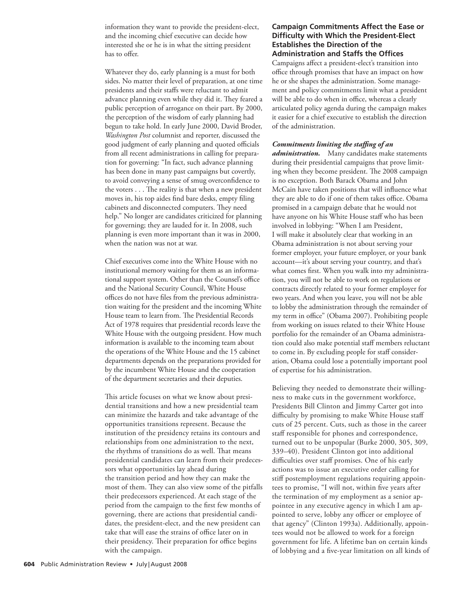information they want to provide the president-elect, and the incoming chief executive can decide how interested she or he is in what the sitting president has to offer.

 Whatever they do, early planning is a must for both sides. No matter their level of preparation, at one time presidents and their staffs were reluctant to admit advance planning even while they did it. They feared a public perception of arrogance on their part. By 2000, the perception of the wisdom of early planning had begun to take hold. In early June 2000, David Broder, *Washington Post* columnist and reporter, discussed the good judgment of early planning and quoted officials from all recent administrations in calling for preparation for governing: "In fact, such advance planning has been done in many past campaigns but covertly, to avoid conveying a sense of smug overconfidence to the voters  $\dots$  The reality is that when a new president moves in, his top aides find bare desks, empty filing cabinets and disconnected computers. They need help." No longer are candidates criticized for planning for governing; they are lauded for it. In 2008, such planning is even more important than it was in 2000, when the nation was not at war.

 Chief executives come into the White House with no institutional memory waiting for them as an informational support system. Other than the Counsel's office and the National Security Council, White House offices do not have files from the previous administration waiting for the president and the incoming White House team to learn from. The Presidential Records Act of 1978 requires that presidential records leave the White House with the outgoing president. How much information is available to the incoming team about the operations of the White House and the 15 cabinet departments depends on the preparations provided for by the incumbent White House and the cooperation of the department secretaries and their deputies.

This article focuses on what we know about presidential transitions and how a new presidential team can minimize the hazards and take advantage of the opportunities transitions represent. Because the institution of the presidency retains its contours and relationships from one administration to the next, the rhythms of transitions do as well. That means presidential candidates can learn from their predecessors what opportunities lay ahead during the transition period and how they can make the most of them. They can also view some of the pitfalls their predecessors experienced. At each stage of the period from the campaign to the first few months of governing, there are actions that presidential candidates, the president-elect, and the new president can take that will ease the strains of office later on in their presidency. Their preparation for office begins with the campaign.

#### **Campaign Commitments Affect the Ease or Difficulty with Which the President-Elect Establishes the Direction of the Administration and Staffs the Offices**

Campaigns affect a president-elect's transition into office through promises that have an impact on how he or she shapes the administration. Some management and policy commitments limit what a president will be able to do when in office, whereas a clearly articulated policy agenda during the campaign makes it easier for a chief executive to establish the direction of the administration.

#### *Commitments limiting the staffing of an*

*administration*. Many candidates make statements during their presidential campaigns that prove limiting when they become president. The 2008 campaign is no exception. Both Barack Obama and John McCain have taken positions that will influence what they are able to do if one of them takes office. Obama promised in a campaign debate that he would not have anyone on his White House staff who has been involved in lobbying: "When I am President, I will make it absolutely clear that working in an Obama administration is not about serving your former employer, your future employer, or your bank account — it's about serving your country, and that's what comes first. When you walk into my administration, you will not be able to work on regulations or contracts directly related to your former employer for two years. And when you leave, you will not be able to lobby the administration through the remainder of my term in office" (Obama 2007). Prohibiting people from working on issues related to their White House portfolio for the remainder of an Obama administration could also make potential staff members reluctant to come in. By excluding people for staff consideration, Obama could lose a potentially important pool of expertise for his administration.

 Believing they needed to demonstrate their willingness to make cuts in the government workforce, Presidents Bill Clinton and Jimmy Carter got into difficulty by promising to make White House staff cuts of 25 percent. Cuts, such as those in the career staff responsible for phones and correspondence, turned out to be unpopular (Burke 2000, 305, 309, 339–40). President Clinton got into additional difficulties over staff promises. One of his early actions was to issue an executive order calling for stiff postemployment regulations requiring appointees to promise, "I will not, within five years after the termination of my employment as a senior appointee in any executive agency in which I am appointed to serve, lobby any officer or employee of that agency" (Clinton 1993a). Additionally, appointees would not be allowed to work for a foreign government for life. A lifetime ban on certain kinds of lobbying and a five-year limitation on all kinds of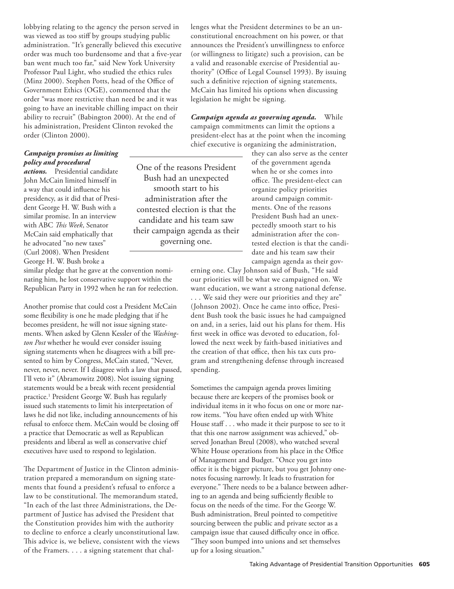lobbying relating to the agency the person served in was viewed as too stiff by groups studying public administration. "It's generally believed this executive order was much too burdensome and that a five-year ban went much too far," said New York University Professor Paul Light, who studied the ethics rules (Minz 2000). Stephen Potts, head of the Office of Government Ethics (OGE), commented that the order "was more restrictive than need be and it was going to have an inevitable chilling impact on their ability to recruit" (Babington 2000). At the end of his administration, President Clinton revoked the order (Clinton 2000).

# *Campaign promises as limiting policy and procedural*

*actions.* Presidential candidate John McCain limited himself in a way that could influence his presidency, as it did that of President George H. W. Bush with a similar promise. In an interview with ABC *This Week*, Senator McCain said emphatically that he advocated "no new taxes" (Curl 2008). When President George H. W. Bush broke a

similar pledge that he gave at the convention nominating him, he lost conservative support within the Republican Party in 1992 when he ran for reelection.

 Another promise that could cost a President McCain some flexibility is one he made pledging that if he becomes president, he will not issue signing statements. When asked by Glenn Kessler of the *Washington Post* whether he would ever consider issuing signing statements when he disagrees with a bill presented to him by Congress, McCain stated, "Never, never, never, never. If I disagree with a law that passed, I'll veto it" (Abramowitz 2008). Not issuing signing statements would be a break with recent presidential practice. 1 President George W. Bush has regularly issued such statements to limit his interpretation of laws he did not like, including announcements of his refusal to enforce them. McCain would be closing off a practice that Democratic as well as Republican presidents and liberal as well as conservative chief executives have used to respond to legislation.

The Department of Justice in the Clinton administration prepared a memorandum on signing statements that found a president's refusal to enforce a law to be constitutional. The memorandum stated, "In each of the last three Administrations, the Department of Justice has advised the President that the Constitution provides him with the authority to decline to enforce a clearly unconstitutional law. This advice is, we believe, consistent with the views of the Framers. . . . a signing statement that chal-

lenges what the President determines to be an unconstitutional encroachment on his power, or that announces the President's unwillingness to enforce (or willingness to litigate) such a provision, can be a valid and reasonable exercise of Presidential authority" (Office of Legal Counsel 1993). By issuing such a definitive rejection of signing statements, McCain has limited his options when discussing legislation he might be signing.

 *Campaign agenda as governing agenda .* While campaign commitments can limit the options a president-elect has at the point when the incoming chief executive is organizing the administration,

One of the reasons President Bush had an unexpected smooth start to his administration after the contested election is that the candidate and his team saw their campaign agenda as their governing one.

they can also serve as the center of the government agenda when he or she comes into office. The president-elect can organize policy priorities around campaign commitments. One of the reasons President Bush had an unexpectedly smooth start to his administration after the contested election is that the candidate and his team saw their campaign agenda as their gov-

erning one. Clay Johnson said of Bush, "He said our priorities will be what we campaigned on. We want education, we want a strong national defense. . . . We said they were our priorities and they are" (Johnson 2002). Once he came into office, President Bush took the basic issues he had campaigned on and, in a series, laid out his plans for them. His first week in office was devoted to education, followed the next week by faith-based initiatives and the creation of that office, then his tax cuts program and strengthening defense through increased spending.

 Sometimes the campaign agenda proves limiting because there are keepers of the promises book or individual items in it who focus on one or more narrow items. "You have often ended up with White House staff . . . who made it their purpose to see to it that this one narrow assignment was achieved," observed Jonathan Breul (2008), who watched several White House operations from his place in the Office of Management and Budget. "Once you get into office it is the bigger picture, but you get Johnny onenotes focusing narrowly. It leads to frustration for everyone." There needs to be a balance between adhering to an agenda and being sufficiently flexible to focus on the needs of the time. For the George W. Bush administration, Breul pointed to competitive sourcing between the public and private sector as a campaign issue that caused difficulty once in office. "They soon bumped into unions and set themselves up for a losing situation."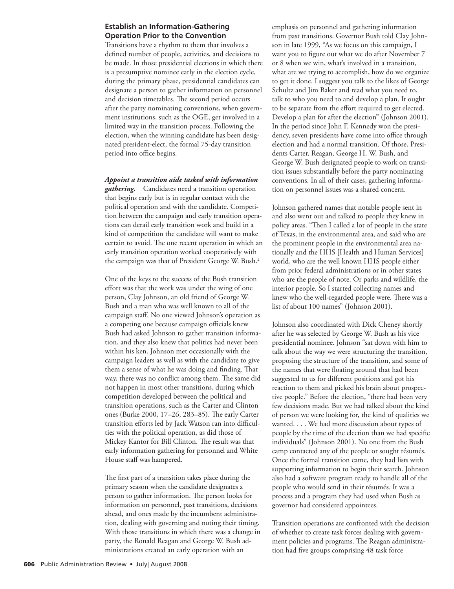### **Establish an Information-Gathering Operation Prior to the Convention**

 Transitions have a rhythm to them that involves a defined number of people, activities, and decisions to be made. In those presidential elections in which there is a presumptive nominee early in the election cycle, during the primary phase, presidential candidates can designate a person to gather information on personnel and decision timetables. The second period occurs after the party nominating conventions, when government institutions, such as the OGE, get involved in a limited way in the transition process. Following the election, when the winning candidate has been designated president-elect, the formal 75-day transition period into office begins.

#### *Appoint a transition aide tasked with information*

gathering. Candidates need a transition operation that begins early but is in regular contact with the political operation and with the candidate. Competition between the campaign and early transition operations can derail early transition work and build in a kind of competition the candidate will want to make certain to avoid. The one recent operation in which an early transition operation worked cooperatively with the campaign was that of President George W. Bush.<sup>2</sup>

 One of the keys to the success of the Bush transition effort was that the work was under the wing of one person, Clay Johnson, an old friend of George W. Bush and a man who was well known to all of the campaign staff. No one viewed Johnson's operation as a competing one because campaign officials knew Bush had asked Johnson to gather transition information, and they also knew that politics had never been within his ken. Johnson met occasionally with the campaign leaders as well as with the candidate to give them a sense of what he was doing and finding. That way, there was no conflict among them. The same did not happen in most other transitions, during which competition developed between the political and transition operations, such as the Carter and Clinton ones (Burke 2000, 17-26, 283-85). The early Carter transition efforts led by Jack Watson ran into difficulties with the political operation, as did those of Mickey Kantor for Bill Clinton. The result was that early information gathering for personnel and White House staff was hampered.

The first part of a transition takes place during the primary season when the candidate designates a person to gather information. The person looks for information on personnel, past transitions, decisions ahead, and ones made by the incumbent administration, dealing with governing and noting their timing. With those transitions in which there was a change in party, the Ronald Reagan and George W. Bush administrations created an early operation with an

emphasis on personnel and gathering information from past transitions. Governor Bush told Clay Johnson in late 1999, "As we focus on this campaign, I want you to figure out what we do after November 7 or 8 when we win, what's involved in a transition, what are we trying to accomplish, how do we organize to get it done. I suggest you talk to the likes of George Schultz and Jim Baker and read what you need to, talk to who you need to and develop a plan. It ought to be separate from the effort required to get elected. Develop a plan for after the election" (Johnson 2001). In the period since John F. Kennedy won the presidency, seven presidents have come into office through election and had a normal transition. Of those, Presidents Carter, Reagan, George H. W. Bush, and George W. Bush designated people to work on transition issues substantially before the party nominating conventions. In all of their cases, gathering information on personnel issues was a shared concern.

 Johnson gathered names that notable people sent in and also went out and talked to people they knew in policy areas. "Then I called a lot of people in the state of Texas, in the environmental area, and said who are the prominent people in the environmental area nationally and the HHS [Health and Human Services] world, who are the well known HHS people either from prior federal administrations or in other states who are the people of note. Or parks and wildlife, the interior people. So I started collecting names and knew who the well-regarded people were. There was a list of about 100 names" (Johnson 2001).

 Johnson also coordinated with Dick Cheney shortly after he was selected by George W. Bush as his vice presidential nominee. Johnson "sat down with him to talk about the way we were structuring the transition, proposing the structure of the transition, and some of the names that were floating around that had been suggested to us for different positions and got his reaction to them and picked his brain about prospective people." Before the election, "there had been very few decisions made. But we had talked about the kind of person we were looking for, the kind of qualities we wanted. . . . We had more discussion about types of people by the time of the election than we had specific individuals" (Johnson 2001). No one from the Bush camp contacted any of the people or sought résumés. Once the formal transition came, they had lists with supporting information to begin their search. Johnson also had a software program ready to handle all of the people who would send in their résumés. It was a process and a program they had used when Bush as governor had considered appointees.

 Transition operations are confronted with the decision of whether to create task forces dealing with government policies and programs. The Reagan administration had five groups comprising 48 task force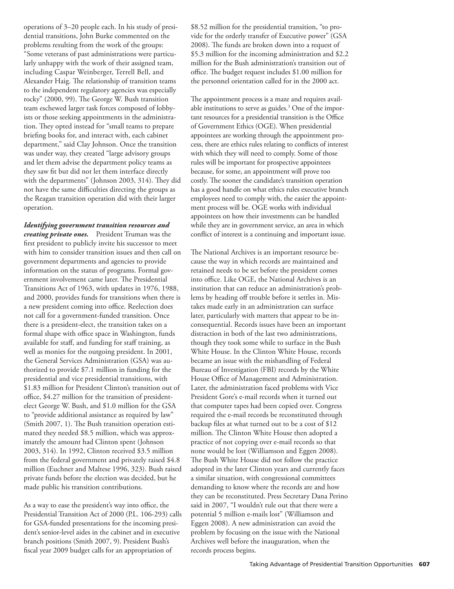operations of  $3-20$  people each. In his study of presidential transitions, John Burke commented on the problems resulting from the work of the groups: "Some veterans of past administrations were particularly unhappy with the work of their assigned team, including Caspar Weinberger, Terrell Bell, and Alexander Haig. The relationship of transition teams to the independent regulatory agencies was especially rocky" (2000, 99). The George W. Bush transition team eschewed larger task forces composed of lobbyists or those seeking appointments in the administration. They opted instead for "small teams to prepare briefing books for, and interact with, each cabinet department," said Clay Johnson. Once the transition was under way, they created "large advisory groups and let them advise the department policy teams as they saw fit but did not let them interface directly with the departments" (Johnson 2003, 314). They did not have the same difficulties directing the groups as the Reagan transition operation did with their larger operation.

 *Identifying government transition resources and*  creating private ones. President Truman was the first president to publicly invite his successor to meet with him to consider transition issues and then call on government departments and agencies to provide information on the status of programs. Formal government involvement came later. The Presidential Transitions Act of 1963, with updates in 1976, 1988, and 2000, provides funds for transitions when there is a new president coming into office. Reelection does not call for a government-funded transition. Once there is a president-elect, the transition takes on a formal shape with office space in Washington, funds available for staff, and funding for staff training, as well as monies for the outgoing president. In 2001, the General Services Administration (GSA) was authorized to provide \$7.1 million in funding for the presidential and vice presidential transitions, with \$1.83 million for President Clinton's transition out of office, \$4.27 million for the transition of presidentelect George W. Bush, and \$1.0 million for the GSA to "provide additional assistance as required by law" (Smith 2007, 1). The Bush transition operation estimated they needed \$8.5 million, which was approximately the amount had Clinton spent (Johnson 2003 , 314). In 1992, Clinton received \$3.5 million from the federal government and privately raised \$4.8 million (Euchner and Maltese 1996, 323). Bush raised private funds before the election was decided, but he made public his transition contributions.

As a way to ease the president's way into office, the Presidential Transition Act of 2000 (P.L. 106-293) calls for GSA-funded presentations for the incoming president's senior-level aides in the cabinet and in executive branch positions (Smith 2007, 9). President Bush's fiscal year 2009 budget calls for an appropriation of

\$8.52 million for the presidential transition, "to provide for the orderly transfer of Executive power" (GSA 2008). The funds are broken down into a request of \$5.3 million for the incoming administration and \$2.2 million for the Bush administration's transition out of office. The budget request includes  $$1.00$  million for the personnel orientation called for in the 2000 act.

The appointment process is a maze and requires available institutions to serve as guides.<sup>3</sup> One of the important resources for a presidential transition is the Office of Government Ethics (OGE). When presidential appointees are working through the appointment process, there are ethics rules relating to conflicts of interest with which they will need to comply. Some of those rules will be important for prospective appointees because, for some, an appointment will prove too costly. The sooner the candidate's transition operation has a good handle on what ethics rules executive branch employees need to comply with, the easier the appointment process will be. OGE works with individual appointees on how their investments can be handled while they are in government service, an area in which conflict of interest is a continuing and important issue.

The National Archives is an important resource because the way in which records are maintained and retained needs to be set before the president comes into office. Like OGE, the National Archives is an institution that can reduce an administration's problems by heading off trouble before it settles in. Mistakes made early in an administration can surface later, particularly with matters that appear to be inconsequential. Records issues have been an important distraction in both of the last two administrations, though they took some while to surface in the Bush White House. In the Clinton White House, records became an issue with the mishandling of Federal Bureau of Investigation (FBI) records by the White House Office of Management and Administration. Later, the administration faced problems with Vice President Gore's e-mail records when it turned out that computer tapes had been copied over. Congress required the e-mail records be reconstituted through backup files at what turned out to be a cost of  $$12$ million. The Clinton White House then adopted a practice of not copying over e-mail records so that none would be lost ( Williamson and Eggen 2008 ). The Bush White House did not follow the practice adopted in the later Clinton years and currently faces a similar situation, with congressional committees demanding to know where the records are and how they can be reconstituted. Press Secretary Dana Perino said in 2007, "I wouldn't rule out that there were a potential 5 million e-mails lost" ( Williamson and Eggen 2008). A new administration can avoid the problem by focusing on the issue with the National Archives well before the inauguration, when the records process begins.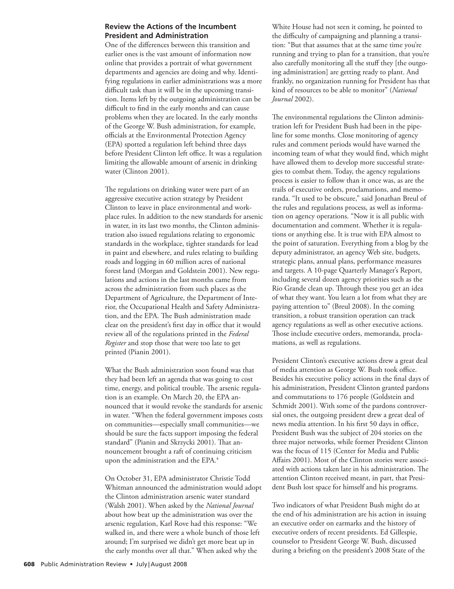# **Review the Actions of the Incumbent President and Administration**

One of the differences between this transition and earlier ones is the vast amount of information now online that provides a portrait of what government departments and agencies are doing and why. Identifying regulations in earlier administrations was a more difficult task than it will be in the upcoming transition. Items left by the outgoing administration can be difficult to find in the early months and can cause problems when they are located. In the early months of the George W. Bush administration, for example, officials at the Environmental Protection Agency (EPA) spotted a regulation left behind three days before President Clinton left office. It was a regulation limiting the allowable amount of arsenic in drinking water (Clinton 2001).

The regulations on drinking water were part of an aggressive executive action strategy by President Clinton to leave in place environmental and workplace rules. In addition to the new standards for arsenic in water, in its last two months, the Clinton administration also issued regulations relating to ergonomic standards in the workplace, tighter standards for lead in paint and elsewhere, and rules relating to building roads and logging in 60 million acres of national forest land (Morgan and Goldstein 2001). New regulations and actions in the last months came from across the administration from such places as the Department of Agriculture, the Department of Interior, the Occupational Health and Safety Administration, and the EPA. The Bush administration made clear on the president's first day in office that it would review all of the regulations printed in the *Federal Register* and stop those that were too late to get printed (Pianin 2001).

 What the Bush administration soon found was that they had been left an agenda that was going to cost time, energy, and political trouble. The arsenic regulation is an example. On March 20, the EPA announced that it would revoke the standards for arsenic in water. "When the federal government imposes costs on communities — especially small communities — we should be sure the facts support imposing the federal standard" (Pianin and Skrzycki 2001). That announcement brought a raft of continuing criticism upon the administration and the EPA.<sup>4</sup>

 On October 31, EPA administrator Christie Todd Whitman announced the administration would adopt the Clinton administration arsenic water standard (Walsh 2001). When asked by the *National Journal* about how beat up the administration was over the arsenic regulation, Karl Rove had this response: "We walked in, and there were a whole bunch of those left around; I'm surprised we didn't get more beat up in the early months over all that." When asked why the

White House had not seen it coming, he pointed to the difficulty of campaigning and planning a transition: "But that assumes that at the same time you're running and trying to plan for a transition, that you're also carefully monitoring all the stuff they [the outgoing administration] are getting ready to plant. And frankly, no organization running for President has that kind of resources to be able to monitor" ( *National Journal* 2002).

The environmental regulations the Clinton administration left for President Bush had been in the pipeline for some months. Close monitoring of agency rules and comment periods would have warned the incoming team of what they would find, which might have allowed them to develop more successful strategies to combat them. Today, the agency regulations process is easier to follow than it once was, as are the trails of executive orders, proclamations, and memoranda. "It used to be obscure," said Jonathan Breul of the rules and regulations process, as well as information on agency operations. "Now it is all public with documentation and comment. Whether it is regulations or anything else. It is true with EPA almost to the point of saturation. Everything from a blog by the deputy administrator, an agency Web site, budgets, strategic plans, annual plans, performance measures and targets. A 10-page Quarterly Manager's Report, including several dozen agency priorities such as the Rio Grande clean up. Through these you get an idea of what they want. You learn a lot from what they are paying attention to" (Breul 2008). In the coming transition, a robust transition operation can track agency regulations as well as other executive actions. Those include executive orders, memoranda, proclamations, as well as regulations.

 President Clinton's executive actions drew a great deal of media attention as George W. Bush took office. Besides his executive policy actions in the final days of his administration, President Clinton granted pardons and commutations to 176 people (Goldstein and Schmidt 2001). With some of the pardons controversial ones, the outgoing president drew a great deal of news media attention. In his first 50 days in office, President Bush was the subject of 204 stories on the three major networks, while former President Clinton was the focus of 115 (Center for Media and Public Affairs 2001). Most of the Clinton stories were associated with actions taken late in his administration. The attention Clinton received meant, in part, that President Bush lost space for himself and his programs.

 Two indicators of what President Bush might do at the end of his administration are his action in issuing an executive order on earmarks and the history of executive orders of recent presidents. Ed Gillespie, counselor to President George W. Bush, discussed during a briefing on the president's 2008 State of the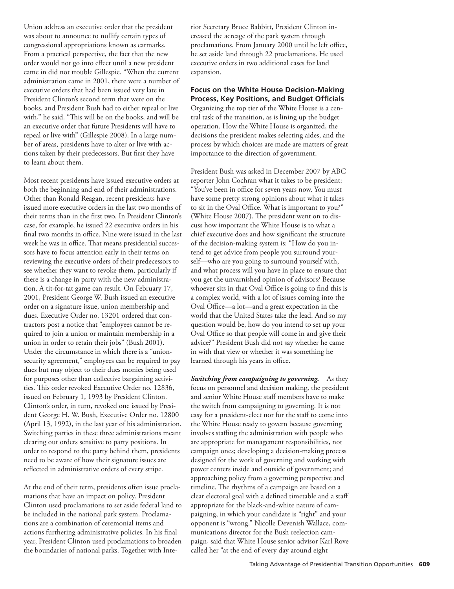Union address an executive order that the president was about to announce to nullify certain types of congressional appropriations known as earmarks. From a practical perspective, the fact that the new order would not go into effect until a new president came in did not trouble Gillespie. "When the current administration came in 2001, there were a number of executive orders that had been issued very late in President Clinton's second term that were on the books, and President Bush had to either repeal or live with," he said. "This will be on the books, and will be an executive order that future Presidents will have to repeal or live with" (Gillespie 2008). In a large number of areas, presidents have to alter or live with actions taken by their predecessors. But first they have to learn about them.

 Most recent presidents have issued executive orders at both the beginning and end of their administrations. Other than Ronald Reagan, recent presidents have issued more executive orders in the last two months of their terms than in the first two. In President Clinton's case, for example, he issued 22 executive orders in his final two months in office. Nine were issued in the last week he was in office. That means presidential successors have to focus attention early in their terms on reviewing the executive orders of their predecessors to see whether they want to revoke them, particularly if there is a change in party with the new administration. A tit-for-tat game can result. On February 17, 2001, President George W. Bush issued an executive order on a signature issue, union membership and dues. Executive Order no. 13201 ordered that contractors post a notice that "employees cannot be required to join a union or maintain membership in a union in order to retain their jobs" (Bush 2001). Under the circumstance in which there is a "unionsecurity agreement," employees can be required to pay dues but may object to their dues monies being used for purposes other than collective bargaining activities. This order revoked Executive Order no. 12836, issued on February 1, 1993 by President Clinton. Clinton's order, in turn, revoked one issued by President George H. W. Bush, Executive Order no. 12800 (April 13, 1992), in the last year of his administration. Switching parties in these three administrations meant clearing out orders sensitive to party positions. In order to respond to the party behind them, presidents need to be aware of how their signature issues are reflected in administrative orders of every stripe.

 At the end of their term, presidents often issue proclamations that have an impact on policy. President Clinton used proclamations to set aside federal land to be included in the national park system. Proclamations are a combination of ceremonial items and actions furthering administrative policies. In his final year, President Clinton used proclamations to broaden the boundaries of national parks. Together with Interior Secretary Bruce Babbitt, President Clinton increased the acreage of the park system through proclamations. From January 2000 until he left office, he set aside land through 22 proclamations. He used executive orders in two additional cases for land expansion.

### **Focus on the White House Decision-Making Process, Key Positions, and Budget Officials**

 Organizing the top tier of the White House is a central task of the transition, as is lining up the budget operation. How the White House is organized, the decisions the president makes selecting aides, and the process by which choices are made are matters of great importance to the direction of government.

 President Bush was asked in December 2007 by ABC reporter John Cochran what it takes to be president: "You've been in office for seven years now. You must have some pretty strong opinions about what it takes to sit in the Oval Office. What is important to you?" (White House 2007). The president went on to discuss how important the White House is to what a chief executive does and how significant the structure of the decision-making system is: "How do you intend to get advice from people you surround yourself—who are you going to surround yourself with, and what process will you have in place to ensure that you get the unvarnished opinion of advisors? Because whoever sits in that Oval Office is going to find this is a complex world, with a lot of issues coming into the Oval Office—a lot—and a great expectation in the world that the United States take the lead. And so my question would be, how do you intend to set up your Oval Office so that people will come in and give their advice?" President Bush did not say whether he came in with that view or whether it was something he learned through his years in office.

Switching from campaigning to governing. As they focus on personnel and decision making, the president and senior White House staff members have to make the switch from campaigning to governing. It is not easy for a president-elect nor for the staff to come into the White House ready to govern because governing involves staffing the administration with people who are appropriate for management responsibilities, not campaign ones; developing a decision-making process designed for the work of governing and working with power centers inside and outside of government; and approaching policy from a governing perspective and timeline. The rhythms of a campaign are based on a clear electoral goal with a defined timetable and a staff appropriate for the black-and-white nature of campaigning, in which your candidate is "right" and your opponent is "wrong." Nicolle Devenish Wallace, communications director for the Bush reelection campaign, said that White House senior advisor Karl Rove called her "at the end of every day around eight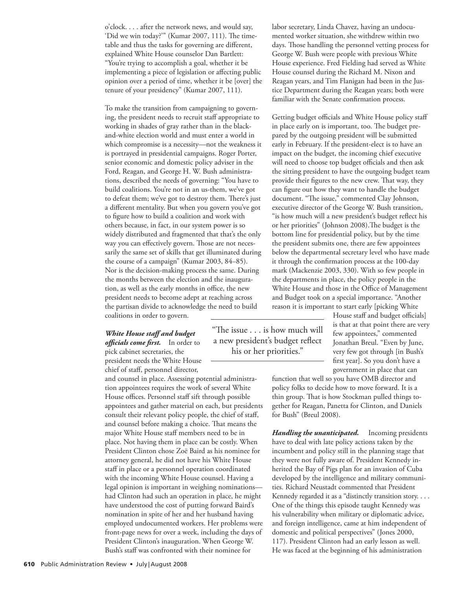o'clock. . . . after the network news, and would say, 'Did we win today?'" (Kumar 2007, 111). The timetable and thus the tasks for governing are different, explained White House counselor Dan Bartlett: "You're trying to accomplish a goal, whether it be implementing a piece of legislation or affecting public opinion over a period of time, whether it be [over] the tenure of your presidency" (Kumar 2007, 111).

 To make the transition from campaigning to governing, the president needs to recruit staff appropriate to working in shades of gray rather than in the blackand-white election world and must enter a world in which compromise is a necessity-not the weakness it is portrayed in presidential campaigns. Roger Porter, senior economic and domestic policy adviser in the Ford, Reagan, and George H. W. Bush administrations, described the needs of governing: "You have to build coalitions. You're not in an us-them, we've got to defeat them; we've got to destroy them. There's just a different mentality. But when you govern you've got to figure how to build a coalition and work with others because, in fact, in our system power is so widely distributed and fragmented that that's the only way you can effectively govern. Those are not necessarily the same set of skills that get illuminated during the course of a campaign" (Kumar 2003, 84-85). Nor is the decision-making process the same. During the months between the election and the inauguration, as well as the early months in office, the new president needs to become adept at reaching across the partisan divide to acknowledge the need to build coalitions in order to govern.

# *White House staff and budget officials come first.* In order to pick cabinet secretaries, the

president needs the White House chief of staff, personnel director,

and counsel in place. Assessing potential administration appointees requires the work of several White House offices. Personnel staff sift through possible appointees and gather material on each, but presidents consult their relevant policy people, the chief of staff, and counsel before making a choice. That means the major White House staff members need to be in place. Not having them in place can be costly. When President Clinton chose Zoë Baird as his nominee for attorney general, he did not have his White House staff in place or a personnel operation coordinated with the incoming White House counsel. Having a legal opinion is important in weighing nominations had Clinton had such an operation in place, he might have understood the cost of putting forward Baird's nomination in spite of her and her husband having employed undocumented workers. Her problems were front-page news for over a week, including the days of President Clinton's inauguration. When George W. Bush's staff was confronted with their nominee for

labor secretary, Linda Chavez, having an undocumented worker situation, she withdrew within two days. Those handling the personnel vetting process for George W. Bush were people with previous White House experience. Fred Fielding had served as White House counsel during the Richard M. Nixon and Reagan years, and Tim Flanigan had been in the Justice Department during the Reagan years; both were familiar with the Senate confirmation process.

Getting budget officials and White House policy staff in place early on is important, too. The budget prepared by the outgoing president will be submitted early in February. If the president-elect is to have an impact on the budget, the incoming chief executive will need to choose top budget officials and then ask the sitting president to have the outgoing budget team provide their figures to the new crew. That way, they can figure out how they want to handle the budget document. "The issue," commented Clay Johnson, executive director of the George W. Bush transition, "is how much will a new president's budget reflect his or her priorities" (Johnson 2008). The budget is the bottom line for presidential policy, but by the time the president submits one, there are few appointees below the departmental secretary level who have made it through the confirmation process at the 100-day mark (Mackenzie 2003, 330). With so few people in the departments in place, the policy people in the White House and those in the Office of Management and Budget took on a special importance. "Another reason it is important to start early [picking White

"The issue  $\ldots$  is how much will a new president's budget reflect his or her priorities."

House staff and budget officials] is that at that point there are very few appointees," commented Jonathan Breul. "Even by June, very few got through [in Bush's first year]. So you don't have a government in place that can

function that well so you have OMB director and policy folks to decide how to move forward. It is a thin group. That is how Stockman pulled things together for Reagan, Panetta for Clinton, and Daniels for Bush" (Breul 2008).

Handling the unanticipated. Incoming presidents have to deal with late policy actions taken by the incumbent and policy still in the planning stage that they were not fully aware of. President Kennedy inherited the Bay of Pigs plan for an invasion of Cuba developed by the intelligence and military communities. Richard Neustadt commented that President Kennedy regarded it as a "distinctly transition story. . . . One of the things this episode taught Kennedy was his vulnerability when military or diplomatic advice, and foreign intelligence, came at him independent of domestic and political perspectives" (Jones 2000, 117). President Clinton had an early lesson as well. He was faced at the beginning of his administration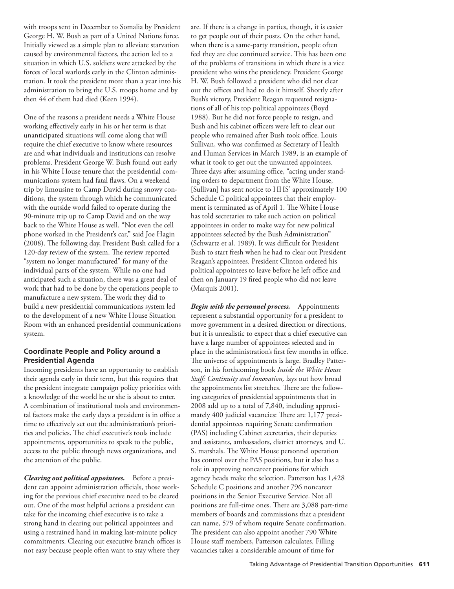with troops sent in December to Somalia by President George H. W. Bush as part of a United Nations force. Initially viewed as a simple plan to alleviate starvation caused by environmental factors, the action led to a situation in which U.S. soldiers were attacked by the forces of local warlords early in the Clinton administration. It took the president more than a year into his administration to bring the U.S. troops home and by then 44 of them had died (Keen 1994).

 One of the reasons a president needs a White House working effectively early in his or her term is that unanticipated situations will come along that will require the chief executive to know where resources are and what individuals and institutions can resolve problems. President George W. Bush found out early in his White House tenure that the presidential communications system had fatal flaws. On a weekend trip by limousine to Camp David during snowy conditions, the system through which he communicated with the outside world failed to operate during the 90-minute trip up to Camp David and on the way back to the White House as well. "Not even the cell phone worked in the President's car," said Joe Hagin (2008). The following day, President Bush called for a 120-day review of the system. The review reported "system no longer manufactured" for many of the individual parts of the system. While no one had anticipated such a situation, there was a great deal of work that had to be done by the operations people to manufacture a new system. The work they did to build a new presidential communications system led to the development of a new White House Situation Room with an enhanced presidential communications system.

#### **Coordinate People and Policy around a Presidential Agenda**

 Incoming presidents have an opportunity to establish their agenda early in their term, but this requires that the president integrate campaign policy priorities with a knowledge of the world he or she is about to enter. A combination of institutional tools and environmental factors make the early days a president is in office a time to effectively set out the administration's priorities and policies. The chief executive's tools include appointments, opportunities to speak to the public, access to the public through news organizations, and the attention of the public.

 *Clearing out political appointees .* Before a president can appoint administration officials, those working for the previous chief executive need to be cleared out. One of the most helpful actions a president can take for the incoming chief executive is to take a strong hand in clearing out political appointees and using a restrained hand in making last-minute policy commitments. Clearing out executive branch offices is not easy because people often want to stay where they

are. If there is a change in parties, though, it is easier to get people out of their posts. On the other hand, when there is a same-party transition, people often feel they are due continued service. This has been one of the problems of transitions in which there is a vice president who wins the presidency. President George H. W. Bush followed a president who did not clear out the offices and had to do it himself. Shortly after Bush's victory, President Reagan requested resignations of all of his top political appointees (Boyd 1988). But he did not force people to resign, and Bush and his cabinet officers were left to clear out people who remained after Bush took office. Louis Sullivan, who was confirmed as Secretary of Health and Human Services in March 1989, is an example of what it took to get out the unwanted appointees. Three days after assuming office, "acting under standing orders to department from the White House, [Sullivan] has sent notice to HHS' approximately 100 Schedule C political appointees that their employment is terminated as of April 1. The White House has told secretaries to take such action on political appointees in order to make way for new political appointees selected by the Bush Administration" (Schwartz et al. 1989). It was difficult for President Bush to start fresh when he had to clear out President Reagan's appointees. President Clinton ordered his political appointees to leave before he left office and then on January 19 fired people who did not leave (Marquis 2001).

 *Begin with the personnel process .* Appointments represent a substantial opportunity for a president to move government in a desired direction or directions, but it is unrealistic to expect that a chief executive can have a large number of appointees selected and in place in the administration's first few months in office. The universe of appointments is large. Bradley Patterson, in his forthcoming book *Inside the White House*  Staff: Continuity and Innovation, lays out how broad the appointments list stretches. There are the following categories of presidential appointments that in 2008 add up to a total of 7,840, including approximately 400 judicial vacancies: There are 1,177 presidential appointees requiring Senate confirmation (PAS) including Cabinet secretaries, their deputies and assistants, ambassadors, district attorneys, and U. S. marshals. The White House personnel operation has control over the PAS positions, but it also has a role in approving noncareer positions for which agency heads make the selection. Patterson has 1,428 Schedule C positions and another 796 noncareer positions in the Senior Executive Service. Not all positions are full-time ones. There are 3,088 part-time members of boards and commissions that a president can name, 579 of whom require Senate confirmation. The president can also appoint another 790 White House staff members, Patterson calculates. Filling vacancies takes a considerable amount of time for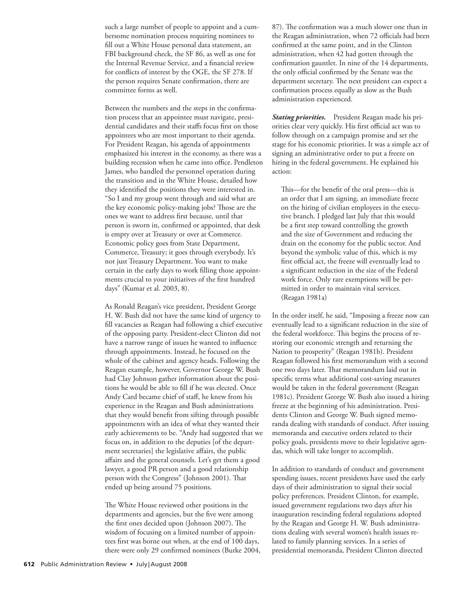such a large number of people to appoint and a cumbersome nomination process requiring nominees to fill out a White House personal data statement, an FBI background check, the SF 86, as well as one for the Internal Revenue Service, and a financial review for conflicts of interest by the OGE, the SF 278. If the person requires Senate confirmation, there are committee forms as well.

Between the numbers and the steps in the confirmation process that an appointee must navigate, presidential candidates and their staffs focus first on those appointees who are most important to their agenda. For President Reagan, his agenda of appointments emphasized his interest in the economy, as there was a building recession when he came into office. Pendleton James, who handled the personnel operation during the transition and in the White House, detailed how they identified the positions they were interested in. "So I and my group went through and said what are the key economic policy-making jobs? Those are the ones we want to address first because, until that person is sworn in, confirmed or appointed, that desk is empty over at Treasury or over at Commerce. Economic policy goes from State Department, Commerce, Treasury; it goes through everybody. It's not just Treasury Department. You want to make certain in the early days to work filling those appointments crucial to your initiatives of the first hundred days" (Kumar et al. 2003, 8).

 As Ronald Reagan's vice president, President George H. W. Bush did not have the same kind of urgency to fill vacancies as Reagan had following a chief executive of the opposing party. President-elect Clinton did not have a narrow range of issues he wanted to influence through appointments. Instead, he focused on the whole of the cabinet and agency heads. Following the Reagan example, however, Governor George W. Bush had Clay Johnson gather information about the positions he would be able to fill if he was elected. Once Andy Card became chief of staff, he knew from his experience in the Reagan and Bush administrations that they would benefit from sifting through possible appointments with an idea of what they wanted their early achievements to be. "Andy had suggested that we focus on, in addition to the deputies [of the department secretaries] the legislative affairs, the public affairs and the general counsels. Let's get them a good lawyer, a good PR person and a good relationship person with the Congress" (Johnson 2001). That ended up being around 75 positions.

The White House reviewed other positions in the departments and agencies, but the five were among the first ones decided upon (Johnson 2007). The wisdom of focusing on a limited number of appointees first was borne out when, at the end of 100 days, there were only 29 confirmed nominees (Burke 2004, 87). The confirmation was a much slower one than in the Reagan administration, when 72 officials had been confirmed at the same point, and in the Clinton administration, when 42 had gotten through the confirmation gauntlet. In nine of the 14 departments, the only official confirmed by the Senate was the department secretary. The next president can expect a confirmation process equally as slow as the Bush administration experienced.

Stating priorities. President Reagan made his priorities clear very quickly. His first official act was to follow through on a campaign promise and set the stage for his economic priorities. It was a simple act of signing an administrative order to put a freeze on hiring in the federal government. He explained his action:

This—for the benefit of the oral press—this is an order that I am signing, an immediate freeze on the hiring of civilian employees in the executive branch. I pledged last July that this would be a first step toward controlling the growth and the size of Government and reducing the drain on the economy for the public sector. And beyond the symbolic value of this, which is my first official act, the freeze will eventually lead to a significant reduction in the size of the Federal work force. Only rare exemptions will be permitted in order to maintain vital services. (Reagan 1981a)

 In the order itself, he said, "Imposing a freeze now can eventually lead to a significant reduction in the size of the federal workforce. This begins the process of restoring our economic strength and returning the Nation to prosperity" (Reagan 1981b). President Reagan followed his first memorandum with a second one two days later. That memorandum laid out in specific terms what additional cost-saving measures would be taken in the federal government ( Reagan 1981c). President George W. Bush also issued a hiring freeze at the beginning of his administration. Presidents Clinton and George W. Bush signed memoranda dealing with standards of conduct. After issuing memoranda and executive orders related to their policy goals, presidents move to their legislative agendas, which will take longer to accomplish.

 In addition to standards of conduct and government spending issues, recent presidents have used the early days of their administration to signal their social policy preferences. President Clinton, for example, issued government regulations two days after his inauguration rescinding federal regulations adopted by the Reagan and George H. W. Bush administrations dealing with several women's health issues related to family planning services. In a series of presidential memoranda, President Clinton directed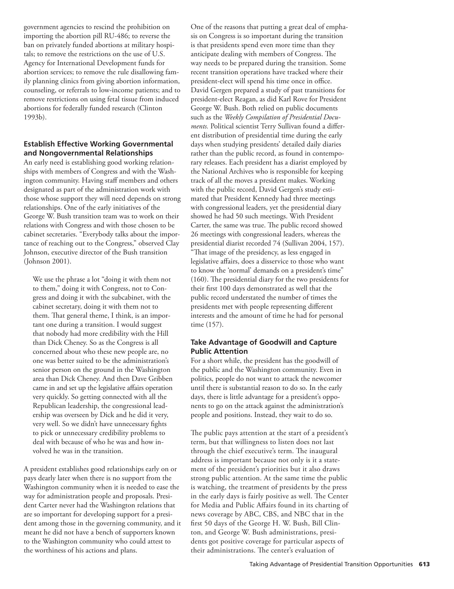government agencies to rescind the prohibition on importing the abortion pill RU-486; to reverse the ban on privately funded abortions at military hospitals; to remove the restrictions on the use of U.S. Agency for International Development funds for abortion services; to remove the rule disallowing family planning clinics from giving abortion information, counseling, or referrals to low-income patients; and to remove restrictions on using fetal tissue from induced abortions for federally funded research (Clinton 1993b).

# **Establish Effective Working Governmental and Nongovernmental Relationships**

 An early need is establishing good working relationships with members of Congress and with the Washington community. Having staff members and others designated as part of the administration work with those whose support they will need depends on strong relationships. One of the early initiatives of the George W. Bush transition team was to work on their relations with Congress and with those chosen to be cabinet secretaries. "Everybody talks about the importance of reaching out to the Congress," observed Clay Johnson, executive director of the Bush transition (Johnson 2001).

 We use the phrase a lot "doing it with them not to them," doing it with Congress, not to Congress and doing it with the subcabinet, with the cabinet secretary, doing it with them not to them. That general theme, I think, is an important one during a transition. I would suggest that nobody had more credibility with the Hill than Dick Cheney. So as the Congress is all concerned about who these new people are, no one was better suited to be the administration's senior person on the ground in the Washington area than Dick Cheney. And then Dave Gribben came in and set up the legislative affairs operation very quickly. So getting connected with all the Republican leadership, the congressional leadership was overseen by Dick and he did it very, very well. So we didn't have unnecessary fights to pick or unnecessary credibility problems to deal with because of who he was and how involved he was in the transition.

 A president establishes good relationships early on or pays dearly later when there is no support from the Washington community when it is needed to ease the way for administration people and proposals. President Carter never had the Washington relations that are so important for developing support for a president among those in the governing community, and it meant he did not have a bench of supporters known to the Washington community who could attest to the worthiness of his actions and plans.

 One of the reasons that putting a great deal of emphasis on Congress is so important during the transition is that presidents spend even more time than they anticipate dealing with members of Congress. The way needs to be prepared during the transition. Some recent transition operations have tracked where their president-elect will spend his time once in office. David Gergen prepared a study of past transitions for president-elect Reagan, as did Karl Rove for President George W. Bush. Both relied on public documents such as the *Weekly Compilation of Presidential Documents.* Political scientist Terry Sullivan found a different distribution of presidential time during the early days when studying presidents' detailed daily diaries rather than the public record, as found in contemporary releases. Each president has a diarist employed by the National Archives who is responsible for keeping track of all the moves a president makes. Working with the public record, David Gergen's study estimated that President Kennedy had three meetings with congressional leaders, yet the presidential diary showed he had 50 such meetings. With President Carter, the same was true. The public record showed 26 meetings with congressional leaders, whereas the presidential diarist recorded 74 (Sullivan 2004, 157). "That image of the presidency, as less engaged in legislative affairs, does a disservice to those who want to know the 'normal' demands on a president's time"  $(160)$ . The presidential diary for the two presidents for their first 100 days demonstrated as well that the public record understated the number of times the presidents met with people representing different interests and the amount of time he had for personal time (157).

## **Take Advantage of Goodwill and Capture Public Attention**

 For a short while, the president has the goodwill of the public and the Washington community. Even in politics, people do not want to attack the newcomer until there is substantial reason to do so. In the early days, there is little advantage for a president's opponents to go on the attack against the administration's people and positions. Instead, they wait to do so.

The public pays attention at the start of a president's term, but that willingness to listen does not last through the chief executive's term. The inaugural address is important because not only is it a statement of the president's priorities but it also draws strong public attention. At the same time the public is watching, the treatment of presidents by the press in the early days is fairly positive as well. The Center for Media and Public Affairs found in its charting of news coverage by ABC, CBS, and NBC that in the first 50 days of the George H. W. Bush, Bill Clinton, and George W. Bush administrations, presidents got positive coverage for particular aspects of their administrations. The center's evaluation of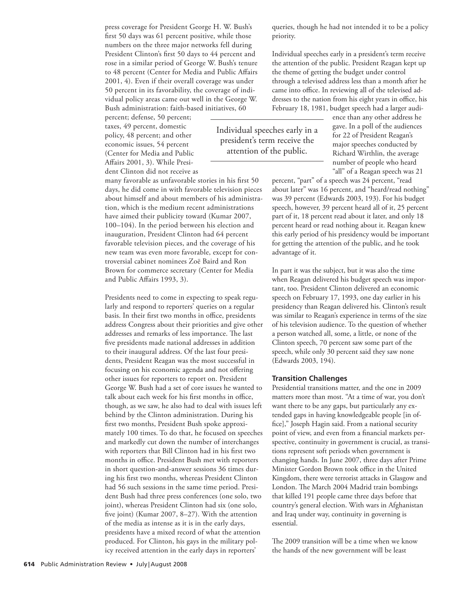press coverage for President George H. W. Bush's first 50 days was 61 percent positive, while those numbers on the three major networks fell during President Clinton's first 50 days to 44 percent and rose in a similar period of George W. Bush's tenure to 48 percent (Center for Media and Public Affairs 2001, 4). Even if their overall coverage was under 50 percent in its favorability, the coverage of individual policy areas came out well in the George W. Bush administration: faith-based initiatives, 60

percent; defense, 50 percent; taxes, 49 percent, domestic policy, 48 percent; and other economic issues, 54 percent ( Center for Media and Public Affairs 2001, 3). While President Clinton did not receive as

many favorable as unfavorable stories in his first 50 days, he did come in with favorable television pieces about himself and about members of his administration, which is the medium recent administrations have aimed their publicity toward (Kumar 2007, 100-104). In the period between his election and inauguration, President Clinton had 64 percent favorable television pieces, and the coverage of his new team was even more favorable, except for controversial cabinet nominees Zoë Baird and Ron Brown for commerce secretary (Center for Media and Public Affairs 1993, 3).

 Presidents need to come in expecting to speak regularly and respond to reporters' queries on a regular basis. In their first two months in office, presidents address Congress about their priorities and give other addresses and remarks of less importance. The last five presidents made national addresses in addition to their inaugural address. Of the last four presidents, President Reagan was the most successful in focusing on his economic agenda and not offering other issues for reporters to report on. President George W. Bush had a set of core issues he wanted to talk about each week for his first months in office, though, as we saw, he also had to deal with issues left behind by the Clinton administration. During his first two months, President Bush spoke approximately 100 times. To do that, he focused on speeches and markedly cut down the number of interchanges with reporters that Bill Clinton had in his first two months in office. President Bush met with reporters in short question-and-answer sessions 36 times during his first two months, whereas President Clinton had 56 such sessions in the same time period. President Bush had three press conferences (one solo, two joint), whereas President Clinton had six (one solo, five joint) (Kumar 2007, 8-27). With the attention of the media as intense as it is in the early days, presidents have a mixed record of what the attention produced. For Clinton, his gays in the military policy received attention in the early days in reporters'

queries, though he had not intended it to be a policy priority.

 Individual speeches early in a president's term receive the attention of the public. President Reagan kept up the theme of getting the budget under control through a televised address less than a month after he came into office. In reviewing all of the televised addresses to the nation from his eight years in office, his February 18, 1981, budget speech had a larger audi-

Individual speeches early in a president's term receive the attention of the public.

ence than any other address he gave. In a poll of the audiences for 22 of President Reagan's major speeches conducted by Richard Wirthlin, the average number of people who heard "all" of a Reagan speech was 21

percent, "part" of a speech was 24 percent, "read about later" was 16 percent, and "heard/read nothing" was 39 percent (Edwards 2003, 193). For his budget speech, however, 39 percent heard all of it, 25 percent part of it, 18 percent read about it later, and only 18 percent heard or read nothing about it. Reagan knew this early period of his presidency would be important for getting the attention of the public, and he took advantage of it.

 In part it was the subject, but it was also the time when Reagan delivered his budget speech was important, too. President Clinton delivered an economic speech on February 17, 1993, one day earlier in his presidency than Reagan delivered his. Clinton's result was similar to Reagan's experience in terms of the size of his television audience. To the question of whether a person watched all, some, a little, or none of the Clinton speech, 70 percent saw some part of the speech, while only 30 percent said they saw none (Edwards 2003, 194).

#### **Transition Challenges**

 Presidential transitions matter, and the one in 2009 matters more than most. "At a time of war, you don't want there to be any gaps, but particularly any extended gaps in having knowledgeable people [in office]," Joseph Hagin said. From a national security point of view, and even from a financial markets perspective, continuity in government is crucial, as transitions represent soft periods when government is changing hands. In June 2007, three days after Prime Minister Gordon Brown took office in the United Kingdom, there were terrorist attacks in Glasgow and London. The March 2004 Madrid train bombings that killed 191 people came three days before that country's general election. With wars in Afghanistan and Iraq under way, continuity in governing is essential.

The 2009 transition will be a time when we know the hands of the new government will be least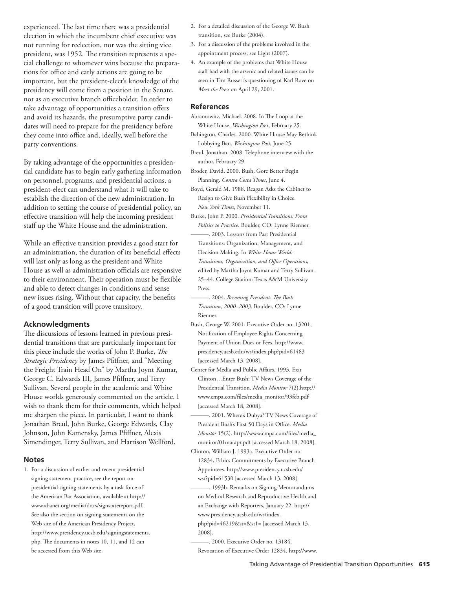experienced. The last time there was a presidential election in which the incumbent chief executive was not running for reelection, nor was the sitting vice president, was 1952. The transition represents a special challenge to whomever wins because the preparations for office and early actions are going to be important, but the president-elect's knowledge of the presidency will come from a position in the Senate, not as an executive branch officeholder. In order to take advantage of opportunities a transition offers and avoid its hazards, the presumptive party candidates will need to prepare for the presidency before they come into office and, ideally, well before the party conventions.

 By taking advantage of the opportunities a presidential candidate has to begin early gathering information on personnel, programs, and presidential actions, a president-elect can understand what it will take to establish the direction of the new administration. In addition to setting the course of presidential policy, an effective transition will help the incoming president staff up the White House and the administration.

While an effective transition provides a good start for an administration, the duration of its beneficial effects will last only as long as the president and White House as well as administration officials are responsive to their environment. Their operation must be flexible and able to detect changes in conditions and sense new issues rising. Without that capacity, the benefits of a good transition will prove transitory.

#### **Acknowledgments**

The discussions of lessons learned in previous presidential transitions that are particularly important for this piece include the works of John P. Burke, *The* Strategic Presidency by James Pfiffner, and "Meeting the Freight Train Head On" by Martha Joynt Kumar, George C. Edwards III, James Pfiffner, and Terry Sullivan. Several people in the academic and White House worlds generously commented on the article. I wish to thank them for their comments, which helped me sharpen the piece. In particular, I want to thank Jonathan Breul, John Burke, George Edwards, Clay Johnson, John Kamensky, James Pfiffner, Alexis Simendinger, Terry Sullivan, and Harrison Wellford.

#### **Notes**

 1. For a discussion of earlier and recent presidential signing statement practice, see the report on presidential signing statements by a task force of the American Bar Association, available at http:// www.abanet.org/media/docs/signstatereport.pdf . See also the section on signing statements on the Web site of the American Presidency Project, http://www.presidency.ucsb.edu/signingstatements. php. The documents in notes 10, 11, and 12 can be accessed from this Web site.

- 2. For a detailed discussion of the George W. Bush transition, see Burke (2004) .
- 3. For a discussion of the problems involved in the appointment process, see Light (2007).
- 4. An example of the problems that White House staff had with the arsenic and related issues can be seen in Tim Russert's questioning of Karl Rove on *Meet the Press* on April 29, 2001.

## **References**

- Abramowitz, Michael. 2008. In The Loop at the White House. *Washington Post*, February 25.
- Babington, Charles. 2000. White House May Rethink Lobbying Ban. Washington Post, June 25.
- Breul, Jonathan. 2008. Telephone interview with the author, February 29.
- Broder, David. 2000. Bush, Gore Better Begin Planning. *Contra Costa Times*, June 4.
- Boyd, Gerald M. 1988. Reagan Asks the Cabinet to Resign to Give Bush Flexibility in Choice . *New York Times*, November 11 .
- Burke, John P. 2000. Presidential Transitions: From Politics to Practice. Boulder, CO: Lynne Rienner. — — — . 2003 . Lessons from Past Presidential
	- Transitions: Organization, Management, and Decision Making. In *White House World: Transitions, Organization, and Office Operations,* edited by Martha Joynt Kumar and Terry Sullivan. 25-44. College Station: Texas A&M University Press.
- — . 2004 . *Becoming President: Th e Bush*  Transition, 2000-2003. Boulder, CO: Lynne Rienner.
- Bush, George W. 2001. Executive Order no. 13201, Notification of Employee Rights Concerning Payment of Union Dues or Fees . http://www. presidency.ucsb.edu/ws/index.php?pid=61483 [accessed March 13, 2008] .
- Center for Media and Public Affairs. 1993. Exit Clinton … Enter Bush: TV News Coverage of the Presidential Transition. *Media Monitor* 7(2).http:// www.cmpa.com/files/media\_monitor/93feb.pdf [accessed March 18, 2008] .
- -. 2001. Where's Dubya? TV News Coverage of President Bush's First 50 Days in Office. Media *Monitor* 15(2). http://www.cmpa.com/files/media\_ monitor/01marapr.pdf [accessed March 18, 2008] .
- Clinton, William J. 1993a. Executive Order no. 12834, Ethics Commitments by Executive Branch Appointees . http://www.presidency.ucsb.edu/ ws/?pid=61530 [accessed March 13, 2008] .
	- — . 1993b . Remarks on Signing Memorandums on Medical Research and Reproductive Health and an Exchange with Reporters, January 22. http:// www.presidency.ucsb.edu/ws/index. php?pid=46219&st=&st1= [accessed March 13,
- 2008] . — — — . 2000 . Executive Order no. 13184,
- Revocation of Executive Order 12834 . http://www.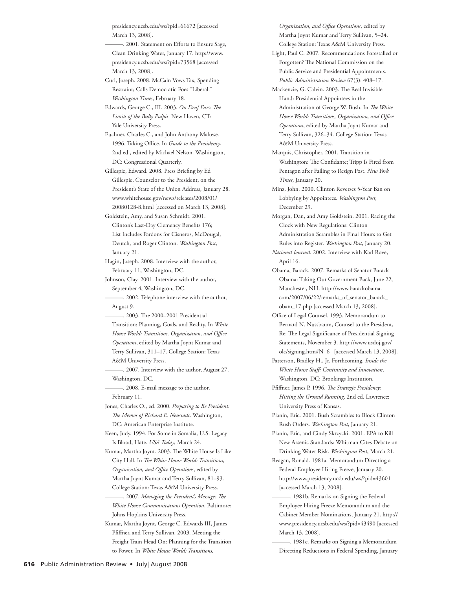presidency.ucsb.edu/ws/?pid=61672 [accessed March 13, 2008].

-. 2001. Statement on Efforts to Ensure Sage, Clean Drinking Water, January 17. http://www. presidency.ucsb.edu/ws/?pid=73568 [accessed March 13, 2008].

Curl, Joseph. 2008. McCain Vows Tax, Spending Restraint; Calls Democratic Foes "Liberal." *Washington Times* , February 18 .

Edwards, George C., III. 2003. On Deaf Ears: The *Limits of the Bully Pulpit* . New Haven, CT: Yale University Press.

Euchner, Charles C., and John Anthony Maltese. 1996. Taking Office. In *Guide to the Presidency*, 2nd ed., edited by Michael Nelson. Washington, DC: Congressional Quarterly.

Gillespie, Edward. 2008. Press Briefing by Ed Gillespie, Counselor to the President, on the President's State of the Union Address, January 28. www.whitehouse.gov/news/releases/2008/01/ 20080128-8.html [accessed on March 13, 2008] .

Goldstein, Amy, and Susan Schmidt. 2001. Clinton's Last-Day Clemency Benefits 176; List Includes Pardons for Cisneros, McDougal, Deutch, and Roger Clinton. *Washington Post*, January 21.

Hagin, Joseph. 2008. Interview with the author, February 11, Washington, DC.

Johnson, Clay. 2001. Interview with the author, September 4, Washington, DC.

-. 2002. Telephone interview with the author, August 9.

. 2003. The 2000-2001 Presidential Transition: Planning, Goals, and Reality . In *White House World: Transitions, Organization, and Offi ce* 

*Operations* , edited by Martha Joynt Kumar and Terry Sullivan, 311-17. College Station: Texas A&M University Press.

-. 2007. Interview with the author, August 27, Washington, DC.

-. 2008. E-mail message to the author, February 11.

Jones, Charles O., ed. 2000. Preparing to Be President: The Memos of Richard E. Neustadt. Washington, DC: American Enterprise Institute.

Keen, Judy. 1994. For Some in Somalia, U.S. Legacy Is Blood, Hate. *USA Today*, March 24.

Kumar, Martha Joynt. 2003. The White House Is Like City Hall. In *The White House World: Transitions*, *Organization, and Office Operations*, edited by Martha Joynt Kumar and Terry Sullivan, 81-93. College Station: Texas A&M University Press.

 — — — . 2007 . *Managing the President's Message: Th e White House Communications Operation* . Baltimore: Johns Hopkins University Press.

Kumar, Martha Joynt, George C. Edwards III, James Pfiffner, and Terry Sullivan. 2003. Meeting the Freight Train Head On: Planning for the Transition to Power . In *White House World: Transitions,* 

*Organization, and Offi ce Operations* , edited by Martha Joynt Kumar and Terry Sullivan, 5-24. College Station: Texas A&M University Press.

Light, Paul C. 2007. Recommendations Forestalled or Forgotten? The National Commission on the Public Service and Presidential Appointments. Public Administration Review 67(3): 408-17.

Mackenzie, G. Calvin. 2003. The Real Invisible Hand: Presidential Appointees in the Administration of George W. Bush. In *The White* House World: Transitions, Organization, and Office *Operations* , edited by Martha Joynt Kumar and Terry Sullivan, 326-34. College Station: Texas A&M University Press.

Marquis, Christopher. 2001. Transition in Washington: The Confidante; Tripp Is Fired from Pentagon after Failing to Resign Post . *New York Times* , January 20.

Minz, John. 2000. Clinton Reverses 5-Year Ban on Lobbying by Appointees. *Washington Post*, December 29.

Morgan, Dan, and Amy Goldstein. 2001. Racing the Clock with New Regulations: Clinton Administration Scrambles in Final Hours to Get Rules into Register. *Washington Post*, January 20.

*National Journal* . 2002 . Interview with Karl Rove, April 16.

Obama, Barack. 2007. Remarks of Senator Barack Obama: Taking Our Government Back, June 22, Manchester, NH. http://www.barackobama. com/2007/06/22/remarks\_of\_senator\_barack\_ obam\_17.php [accessed March 13, 2008] .

Office of Legal Counsel. 1993. Memorandum to Bernard N. Nussbaum, Counsel to the President, Re: The Legal Significance of Presidential Signing Statements, November 3. http://www.usdoj.gov/ olc/signing.htm#N\_6\_ [accessed March 13, 2008] .

Patterson, Bradley H., Jr. Forthcoming. *Inside the White House Staff : Continuity and Innovation* . Washington, DC: Brookings Institution.

Pfiffner, James P. 1996. *The Strategic Presidency*: Hitting the Ground Running. 2nd ed. Lawrence: University Press of Kansas .

Pianin, Eric. 2001. Bush Scrambles to Block Clinton Rush Orders. Washington Post, January 21.

Pianin, Eric, and Cindy Skrzycki. 2001. EPA to Kill New Arsenic Standards: Whitman Cites Debate on Drinking Water Risk. Washington Post, March 21.

Reagan, Ronald. 1981a. Memorandum Directing a Federal Employee Hiring Freeze, January 20. http://www.presidency.ucsb.edu/ws/?pid=43601 [accessed March 13, 2008] .

-. 1981b. Remarks on Signing the Federal Employee Hiring Freeze Memorandum and the Cabinet Member Nominations, January 21. http:// www.presidency.ucsb.edu/ws/?pid=43490 [accessed March 13, 2008].

-. 1981c. Remarks on Signing a Memorandum Directing Reductions in Federal Spending, January